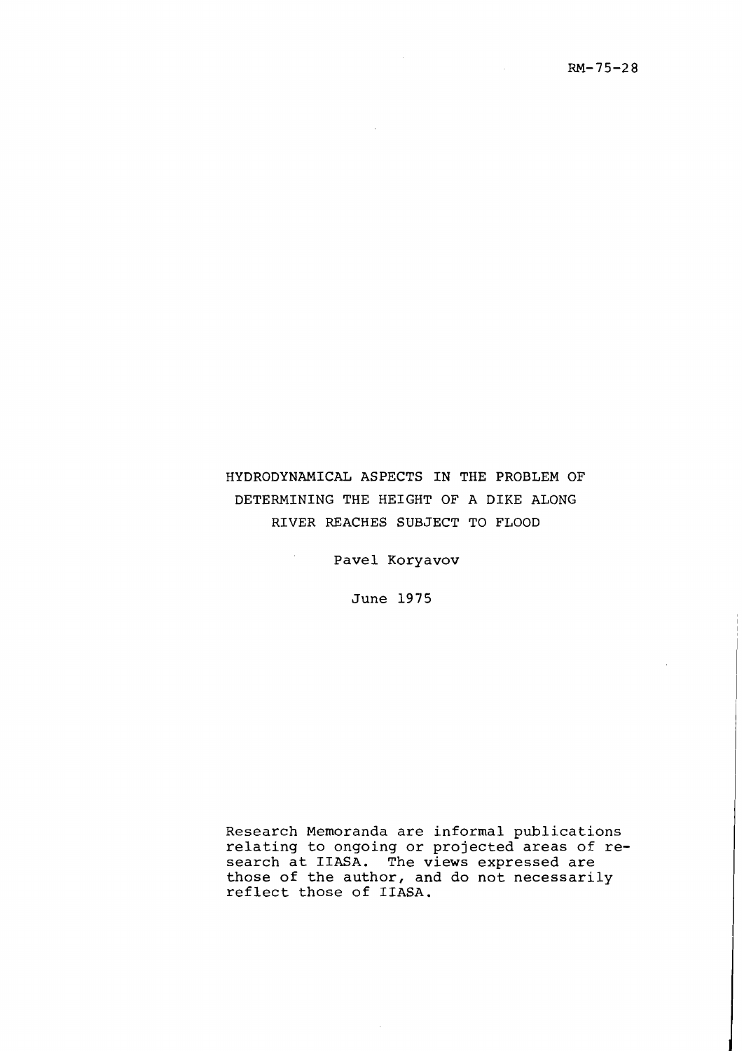$\mathcal{L}_{\text{max}}$  and  $\mathcal{L}_{\text{max}}$ 

## HYDRODYNAMICAL ASPECTS IN THE PROBLEM OF DETERMINING THE HEIGHT OF A DIKE ALONG RIVER REACHES SUBJECT TO FLOOD

Pave1 Koryavov

 $\sim$   $^{-1}$ 

 $\mathcal{L}_{\mathcal{A}}$ 

June 1975

Research Memoranda are informal publications relating to ongoing or projected areas of research at IIASA. The views expressed are those of the author, and do not necessarily reflect those of IIASA.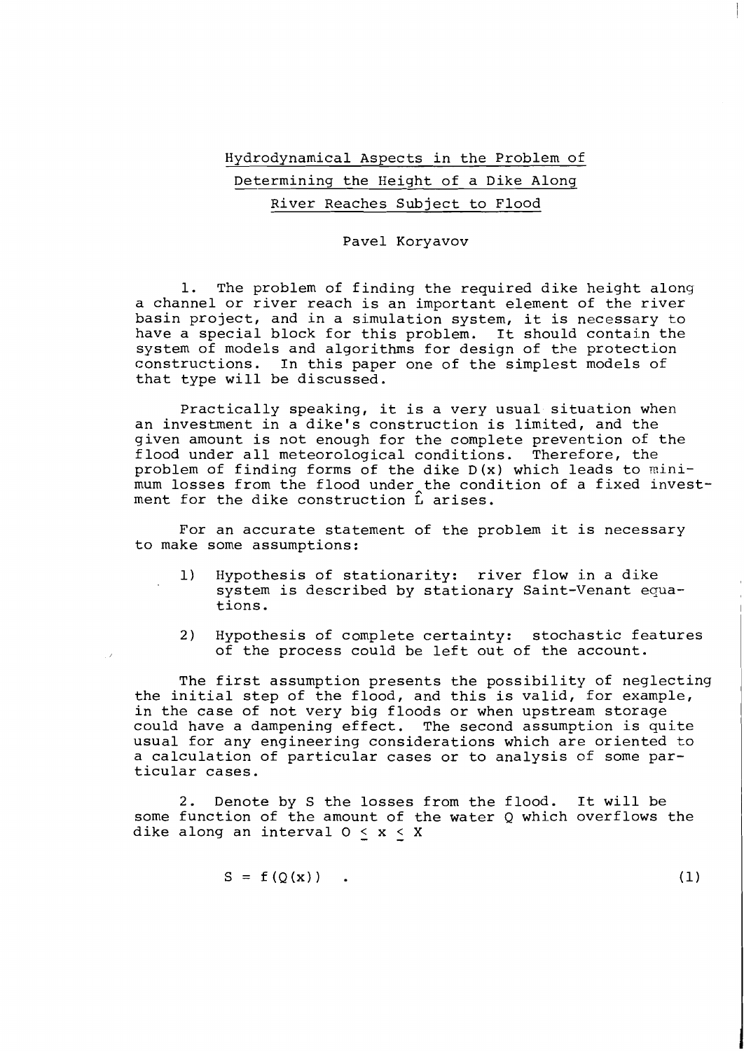## Hydrodynamical Aspects in the Problem of Determining the Height of a Dike Along River Reaches Subject to Flood

## Pave1 Koryavov

1. The problem of finding the required dike height along a channel or river reach is an important element of the river basin project, and in a simulation system, it is necessary to have a special block for this problem. It should contain the system of models and algorithms for design of the protection constructions. In Lhis paper one of the simplest models of that type will be discussed.

Practically speaking, it is a very usual situation when an investment in a dike's construction is limited, and the given amount is not enough for the complete prevention of the flood under all meteorological conditions. Therefore, the problem of finding forms of the dike D(x) which leads to minimum losses from the flood under the condition of a fixed investment for the dike construction  $\hat{L}$  arises.

For an accurate statement of the problem it is necessary to make some assumptions:

- 1) Hypothesis of stationarity: river flow in a dike system is described by stationary Saint-Venant equa-<br>tions. tions. I
- 2) Hypothesis of complete certainty: stochastic features of the process could be left out of the account.

The first assumption presents the possibility of neglecting the initial step of the flood, and this is valid, for example, in the case of not very big floods or when upstream storage could have a dampening effect. The second assumption is quite usual for any engineering considerations which are oriented to a calculation of particular cases or to analysis of some particular cases.

2. Denote by S the losses from the flood. It will be some function of the amount of the water Q which overflows the dike along an interval  $0 < x < X$ 

$$
S = f(Q(x)) .
$$

 $(1)$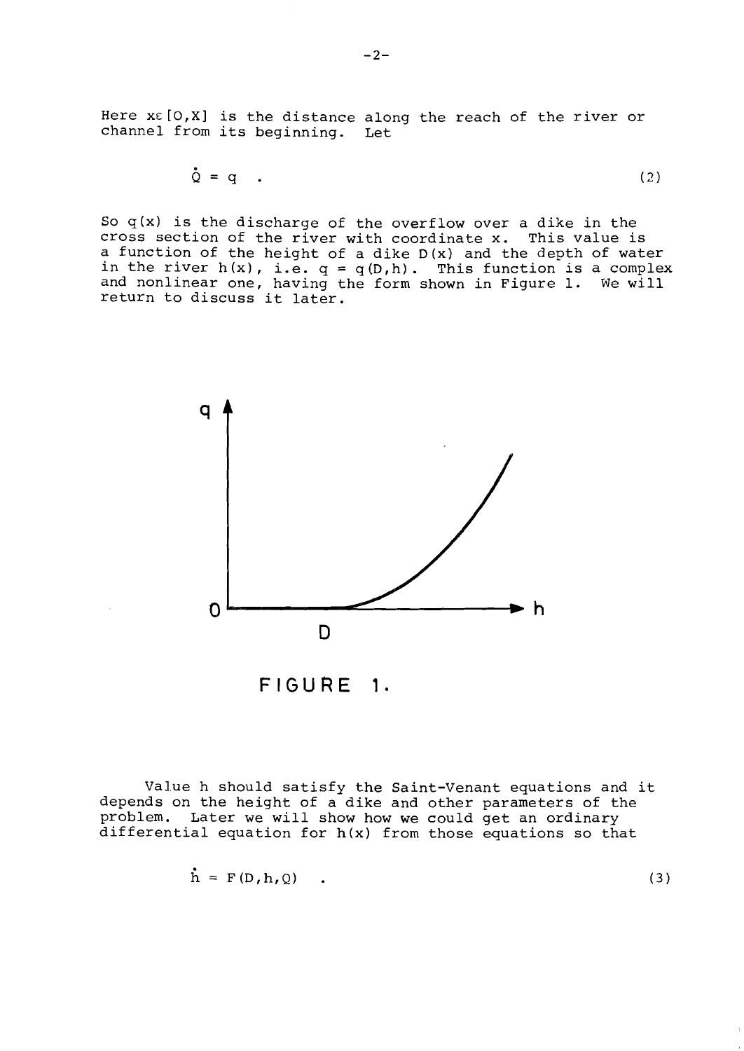Here XE **[O,X]** is the distance along the reach of the river or channel from its beginning. Let

$$
\dot{\mathbf{Q}} = \mathbf{q} \tag{2}
$$

So  $q(x)$  is the discharge of the overflow over a dike in the cross section of the river with coordinate x. This value is a function of the height of a dike D(x) and the depth of water in the river  $h(x)$ , i.e.  $q = q(D,h)$ . This function is a complex and nonlinear one, having the form shown in Figure 1. We will ind noniinear one, naving tr<br>return to discuss it later.



FIGURE 1.

Value h should satisfy the Saint-Venant equations and it depends on the height of a dike and other parameters of the problem. Later we will show how we could get an ordinary differential equation for h(x) from those equations so that

$$
\dot{\mathbf{h}} = \mathbf{F}(\mathbf{D}, \mathbf{h}, \mathbf{Q}) \tag{3}
$$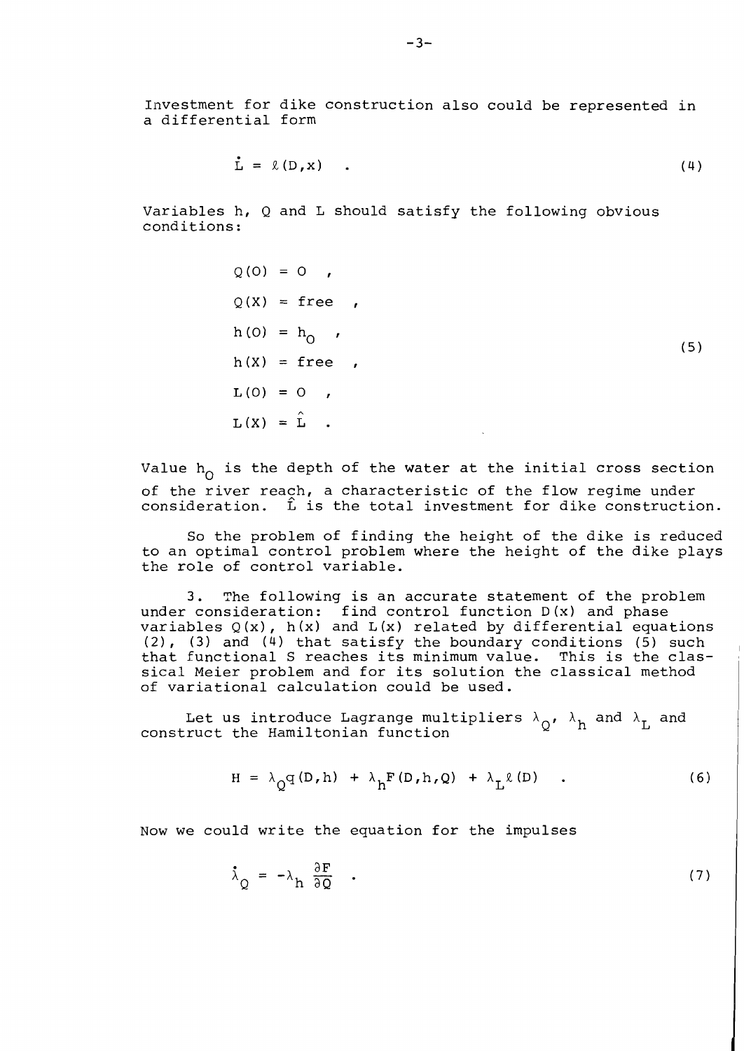Investment for dike construction also could be represented in a differential form

$$
\dot{\mathbf{L}} = \mathcal{L}(\mathbf{D}, \mathbf{x}) \tag{4}
$$

Variables h, Q and L should satisfy the following obvious conditions:

> $Q(0) = 0$ ,  $Q(X) = free$ ,  $h(0) = h_0$ ,<br> $h(X) = \text{free}$ ,  $(5)$  $L(0) = 0$ ,  $L(X) = \hat{L}$ .

Value  $h_0$  is the depth of the water at the initial cross section of the river reach, a characteristic of the flow regime under consideration.  $\hat{L}$  is the total investment for dike construction.

So the problem of finding the height of the dike is reduced to an optimal control problem where the height of the dike plays the role of control variable.

**3.** The following is an accurate statement of the problem under consideration: find control function D(x) and phase variables Q (x) , h (x) and L (x) related by differential equations (21, **(3)** and (4) that satisfy the boundary conditions (5) such that functional S reaches its minimum value. This is the classical Meier problem and for its solution the classical method of variational calculation could be used.

Let us introduce Lagrange multipliers  $\lambda_{0}$ ,  $\lambda_{h}$  and  $\lambda_{h}$  and construct the Hamiltonian function

$$
H = \lambda_Q q(D, h) + \lambda_h F(D, h, Q) + \lambda_L \ell(D) \qquad . \qquad (6)
$$

Now we could write the equation for the impulses

$$
\dot{\lambda}_Q = -\lambda_h \frac{\partial F}{\partial Q} \quad . \tag{7}
$$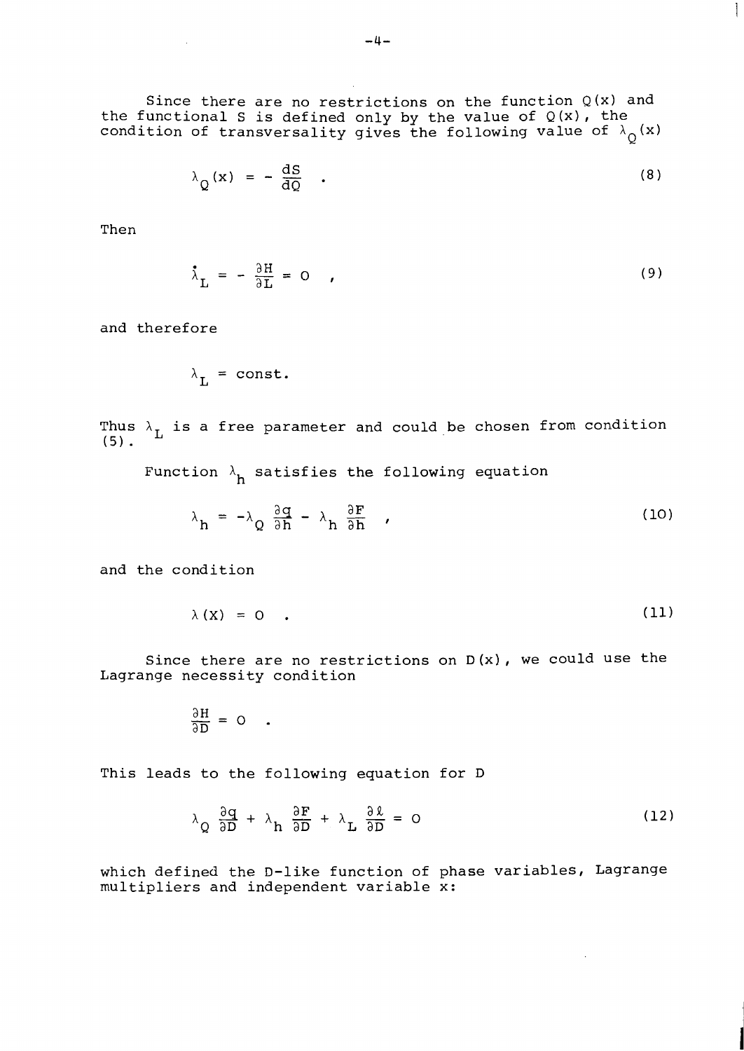Since there are no restrictions on the function **Q(x)** and the functional S is defined only by the value of **Q(x),** the condition of transversality gives the following value of  $\lambda_{\text{Q}}(\textbf{x})$ 

$$
\lambda_{Q}(x) = -\frac{dS}{dQ} \quad . \tag{8}
$$

 $\mathbf{1}$ 

Then

$$
\dot{\lambda}_{\rm L} = -\frac{\partial H}{\partial L} = 0 \qquad (9)
$$

and therefore

$$
\lambda_{\mathsf{L}} = \mathtt{const.}
$$

Thus  $\lambda_L$  is a free parameter and could be chosen from condition (5).

Function  $\lambda$ <sub>h</sub> satisfies the following equation

$$
\lambda_h = -\lambda_Q \frac{\partial q}{\partial h} - \lambda_h \frac{\partial F}{\partial h} \qquad (10)
$$

and the condition

$$
\lambda(X) = 0 \qquad (11)
$$

Since there are no restrictions on **D (x)** , we could use the Lagrange necessity condition

$$
\frac{\partial H}{\partial H} = 0 \quad .
$$

This leads to the following equation for D

$$
\lambda_{Q} \frac{\partial q}{\partial D} + \lambda_{R} \frac{\partial F}{\partial D} + \lambda_{L} \frac{\partial \ell}{\partial D} = 0
$$
 (12)

which defined the D-like function of phase variables, Lagrange multipliers and independent variable **x:**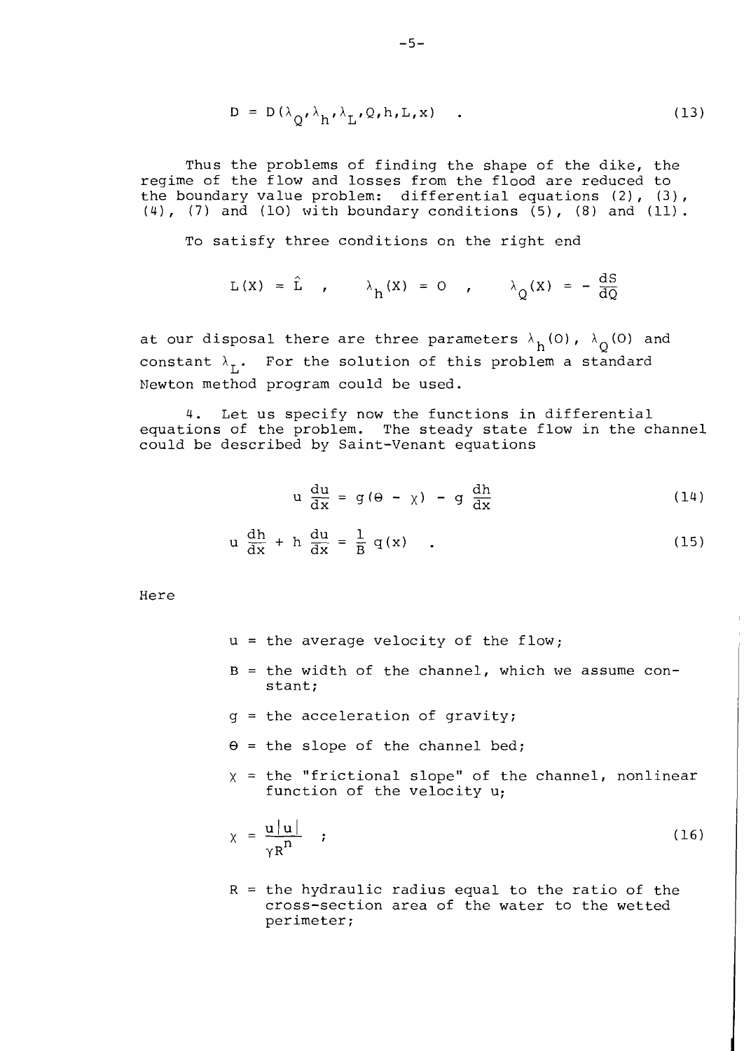$$
D = D(\lambda_{Q}, \lambda_{h}, \lambda_{L}, Q, h, L, x) \quad . \tag{13}
$$

Thus the problems of finding the shape of the dike, the regime of the flow and losses from the flood are reduced to the boundary value problem: differential equations (2), (3),  $(4)$ ,  $(7)$  and  $(10)$  with boundary conditions  $(5)$ ,  $(8)$  and  $(11)$ .

To satisfy three conditions on the right end

$$
L(X) = \hat{L} \qquad \qquad \lambda_h(X) = 0 \qquad \qquad \lambda_Q(X) = -\frac{dS}{dQ}
$$

at our disposal there are three parameters  $\lambda_h(0)$ ,  $\lambda_0(0)$  and constant  $\lambda_{\tau}$ . For the solution of this problem a standard Newton method program could be used.

4. Let us specify now the functions in differential equations of the problem. The steady state flow in the channel could be described by Saint-Venant equations

$$
u \frac{du}{dx} = g(\theta - \chi) - g \frac{dh}{dx}
$$
 (14)

$$
u \frac{dh}{dx} + h \frac{du}{dx} = \frac{1}{B} q(x) \qquad (15)
$$

Here

- $u =$  the average velocity of the flow;
- $B =$  the width of the channel, which we assume constant;
- g = the acceleration of gravity;
- $\theta$  = the slope of the channel bed;
- $x =$  the "frictional slope" of the channel, nonlinear function of the velocity u;

$$
\chi = \frac{u|u|}{\gamma R^n} \qquad ; \qquad (16)
$$

 $R =$  the hydraulic radius equal to the ratio of the cross-section area of the water to the wetted perimeter;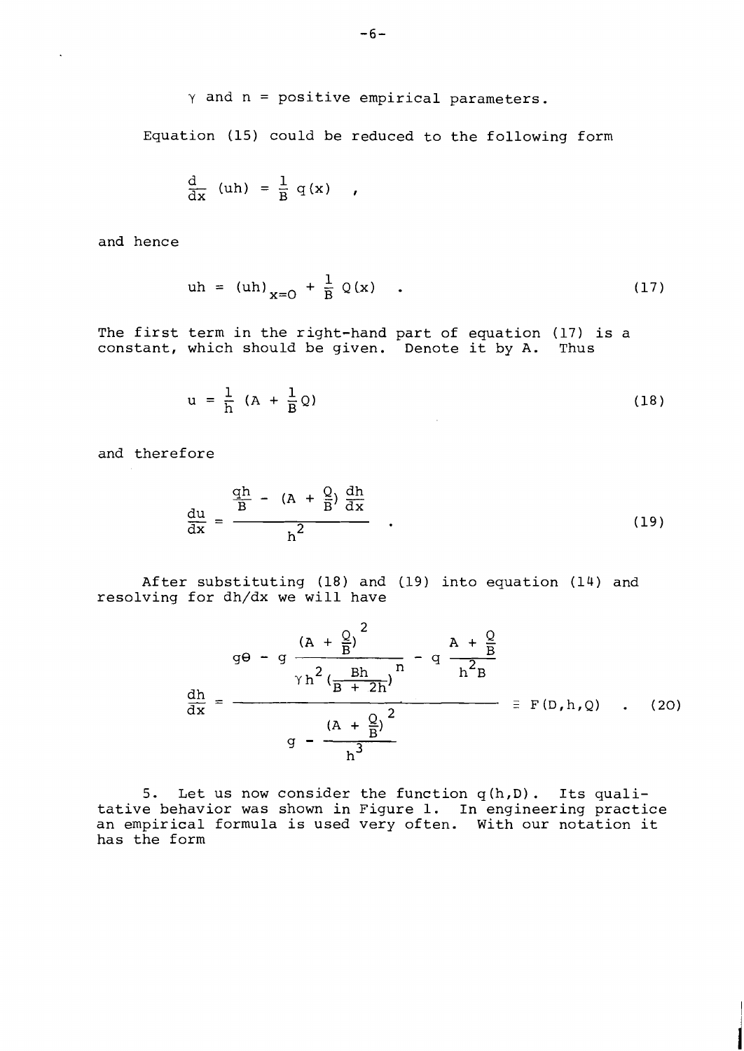$$
\gamma \text{ and } n = \text{positive empirical parameters.}
$$

Equation (15) could be reduced to the following form

$$
\frac{d}{dx} (uh) = \frac{1}{B} q(x) ,
$$

and hence

 $\mathbf{r}$ 

$$
uh = (uh)_{x=0} + \frac{1}{B} Q(x) . \t(17)
$$

The first term in the right-hand part of equation (17) is a constant, which should be given. Denote it by A. Thus

$$
u = \frac{1}{h} (A + \frac{1}{B} Q) \tag{18}
$$

and therefore

$$
\frac{\mathrm{du}}{\mathrm{dx}} = \frac{\frac{\mathrm{qh}}{\mathrm{B}} - (\mathrm{A} + \frac{\mathrm{Q}}{\mathrm{B}}) \frac{\mathrm{dh}}{\mathrm{dx}}}{\mathrm{h}^2} \tag{19}
$$

After substituting (18) and (19) into equation (14) and resolving for dh/dx we will have

 $\sim$ 

$$
g\theta - g \frac{(A + \frac{Q}{B})^{2}}{\gamma h^{2} (\frac{Bh}{B + 2h})^{n}} - q \frac{A + \frac{Q}{B}}{h^{2}B}
$$
  

$$
\frac{dh}{dx} = \frac{(A + \frac{Q}{B})^{2}}{g - \frac{(A + \frac{Q}{B})^{2}}{h^{3}}}
$$
  $\equiv F(D, h, Q)$  (20)

5. Let us now consider the function q (h,D) . Its qualitative behavior was shown in Figure 1. In engineering practice an empirical formula is used very often. With our notation it has the form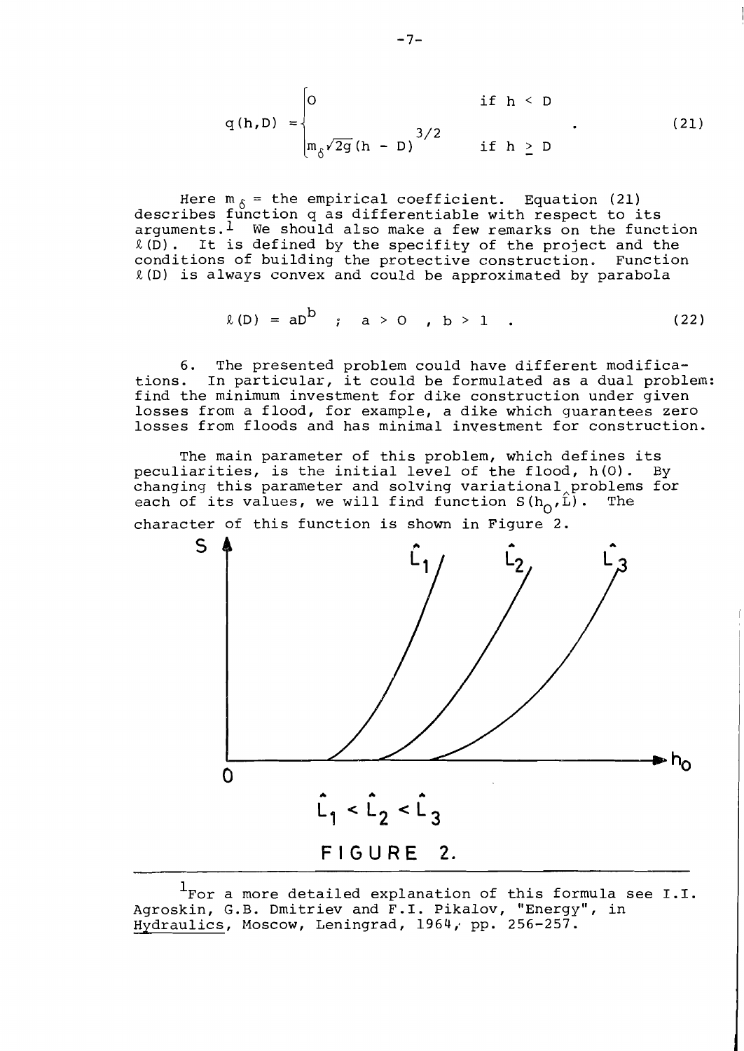$$
q(h,D) = \begin{cases} 0 & \text{if } h < D \\ \n\frac{m_{\delta} \sqrt{2g}(h - D)}{3/2} & \text{if } h \ge D \n\end{cases}
$$
 (21)

Here  $m_{\hat{K}}$  = the empirical coefficient. Equation (21) describes function q as differentiable with respect to its  $a$ rquments.<sup>1</sup> We should also make a few remarks on the function R(D). It is defined by the specifity of the project and the<br>conditions of building the protective construction. Function conditions of building the protective construction.  $R(D)$  is always convex and could be approximated by parabola

$$
\ell(D) = aD^D
$$
;  $a > 0$ ,  $b > 1$ . (22)

6. The presented problem could have different modifica-<br>tions. In particular, it could be formulated as a dual probl In particular, it could be formulated as a dual problem: find the minimum investment for dike construction under given losses from a flood, for example, a dike which guarantees zero losses from floods and has minimal investment for construction.

The main parameter of this problem, which defines its<br>iarities, is the initial level of the flood, h(0). By peculiarities, is the initial level of the flood, h(0). changing this parameter and solving variational problems for<br>each of its values, we will find function  $S(h_0, \hat{L})$ . The each of its values, we will find function  $S(h_0, \hat{L})$ .

character of this function is shown in Figure 2.



<sup>1</sup>For a more detailed explanation of this formula see I.I. Agroskin, G.B. Dmitriev and F.I. Pikalov, "Energy", in Hydraulics, Moscow, Leningrad, 1964, pp. 256-257.